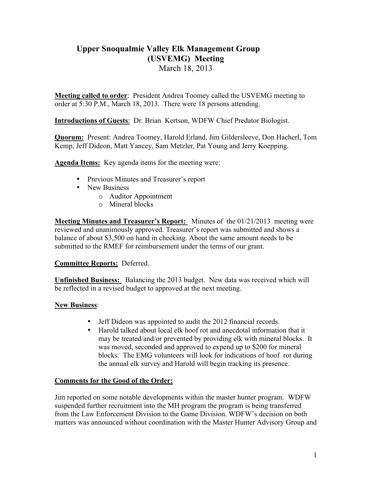## **Upper Snoqualmie Valley Elk Management Group (USVEMG) Meeting**

March 18, 2013

**Meeting called to order**: President Andrea Toomey called the USVEMG meeting to order at 5:30 P.M., March 18, 2013. There were 18 persons attending.

**Introductions of Guests**: Dr. Brian Kertson, WDFW Chief Predator Biologist.

**Quorum:** Present: Andrea Toomey, Harold Erland, Jim Gildersleeve, Don Hacherl, Tom Kemp, Jeff Dideon, Matt Yancey, Sam Metzler, Pat Young and Jerry Koepping.

**Agenda Items:** Key agenda items for the meeting were:

- Previous Minutes and Treasurer's report
- New Business
	- o Auditor Appointment
	- o Mineral blocks

**Meeting Minutes and Treasurer's Report:** Minutes of the 01/21/2013 meeting were reviewed and unanimously approved. Treasurer's report was submitted and shows a balance of about \$3,500 on hand in checking. About the same amount needs to be submitted to the RMEF for reimbursement under the terms of our grant.

## **Committee Reports:** Deferred.

**Unfinished Business:** Balancing the 2013 budget. New data was received which will be reflected in a revised budget to approved at the next meeting.

## **New Business**:

- Jeff Dideon was appointed to audit the 2012 financial records.
- Harold talked about local elk hoof rot and anecdotal information that it may be treated/and/or prevented by providing elk with mineral blocks. It was moved, seconded and approved to expend up to \$200 for mineral blocks. The EMG volunteers will look for indications of hoof rot during the annual elk survey and Harold will begin tracking its presence.

## **Comments for the Good of the Order:**

Jim reported on some notable developments within the master hunter program. WDFW suspended further recruitment into the MH program the program is being transferred from the Law Enforcement Division to the Game Division. WDFW's decision on both matters was announced without coordination with the Master Hunter Advisory Group and